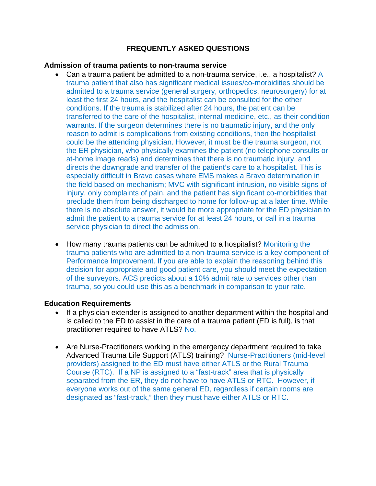# **FREQUENTLY ASKED QUESTIONS**

### **Admission of trauma patients to non-trauma service**

- Can a trauma patient be admitted to a non-trauma service, i.e., a hospitalist? A trauma patient that also has significant medical issues/co-morbidities should be admitted to a trauma service (general surgery, orthopedics, neurosurgery) for at least the first 24 hours, and the hospitalist can be consulted for the other conditions. If the trauma is stabilized after 24 hours, the patient can be transferred to the care of the hospitalist, internal medicine, etc., as their condition warrants. If the surgeon determines there is no traumatic injury, and the only reason to admit is complications from existing conditions, then the hospitalist could be the attending physician. However, it must be the trauma surgeon, not the ER physician, who physically examines the patient (no telephone consults or at-home image reads) and determines that there is no traumatic injury, and directs the downgrade and transfer of the patient's care to a hospitalist. This is especially difficult in Bravo cases where EMS makes a Bravo determination in the field based on mechanism; MVC with significant intrusion, no visible signs of injury, only complaints of pain, and the patient has significant co-morbidities that preclude them from being discharged to home for follow-up at a later time. While there is no absolute answer, it would be more appropriate for the ED physician to admit the patient to a trauma service for at least 24 hours, or call in a trauma service physician to direct the admission.
- How many trauma patients can be admitted to a hospitalist? Monitoring the trauma patients who are admitted to a non-trauma service is a key component of Performance Improvement. If you are able to explain the reasoning behind this decision for appropriate and good patient care, you should meet the expectation of the surveyors. ACS predicts about a 10% admit rate to services other than trauma, so you could use this as a benchmark in comparison to your rate.

### **Education Requirements**

- If a physician extender is assigned to another department within the hospital and is called to the ED to assist in the care of a trauma patient (ED is full), is that practitioner required to have ATLS? No.
- Are Nurse-Practitioners working in the emergency department required to take Advanced Trauma Life Support (ATLS) training? Nurse-Practitioners (mid-level providers) assigned to the ED must have either ATLS or the Rural Trauma Course (RTC). If a NP is assigned to a "fast-track" area that is physically separated from the ER, they do not have to have ATLS or RTC. However, if everyone works out of the same general ED, regardless if certain rooms are designated as "fast-track," then they must have either ATLS or RTC.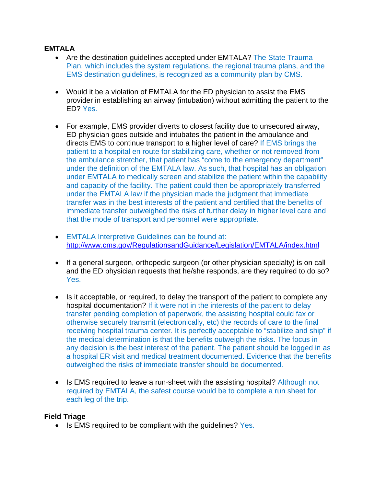## **EMTALA**

- Are the destination quidelines accepted under EMTALA? The State Trauma Plan, which includes the system regulations, the regional trauma plans, and the EMS destination guidelines, is recognized as a community plan by CMS.
- Would it be a violation of EMTALA for the ED physician to assist the EMS provider in establishing an airway (intubation) without admitting the patient to the ED? Yes.
- For example, EMS provider diverts to closest facility due to unsecured airway, ED physician goes outside and intubates the patient in the ambulance and directs EMS to continue transport to a higher level of care? If EMS brings the patient to a hospital en route for stabilizing care, whether or not removed from the ambulance stretcher, that patient has "come to the emergency department" under the definition of the EMTALA law. As such, that hospital has an obligation under EMTALA to medically screen and stabilize the patient within the capability and capacity of the facility. The patient could then be appropriately transferred under the EMTALA law if the physician made the judgment that immediate transfer was in the best interests of the patient and certified that the benefits of immediate transfer outweighed the risks of further delay in higher level care and that the mode of transport and personnel were appropriate.
- EMTALA Interpretive Guidelines can be found at: http://www.cms.gov/RegulationsandGuidance/Legislation/EMTALA/index.html
- If a general surgeon, orthopedic surgeon (or other physician specialty) is on call and the ED physician requests that he/she responds, are they required to do so? Yes.
- Is it acceptable, or required, to delay the transport of the patient to complete any hospital documentation? If it were not in the interests of the patient to delay transfer pending completion of paperwork, the assisting hospital could fax or otherwise securely transmit (electronically, etc) the records of care to the final receiving hospital trauma center. It is perfectly acceptable to "stabilize and ship" if the medical determination is that the benefits outweigh the risks. The focus in any decision is the best interest of the patient. The patient should be logged in as a hospital ER visit and medical treatment documented. Evidence that the benefits outweighed the risks of immediate transfer should be documented.
- Is EMS required to leave a run-sheet with the assisting hospital? Although not required by EMTALA, the safest course would be to complete a run sheet for each leg of the trip.

### **Field Triage**

 $\bullet$  Is EMS required to be compliant with the quidelines? Yes.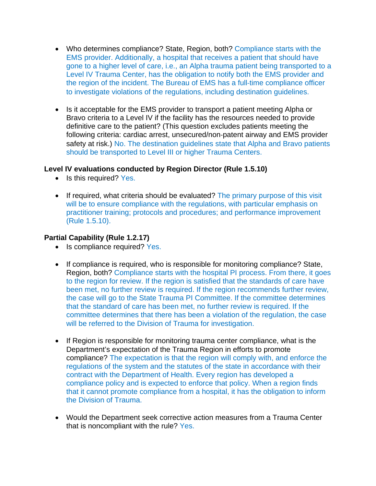- Who determines compliance? State, Region, both? Compliance starts with the EMS provider. Additionally, a hospital that receives a patient that should have gone to a higher level of care, i.e., an Alpha trauma patient being transported to a Level IV Trauma Center, has the obligation to notify both the EMS provider and the region of the incident. The Bureau of EMS has a full‐time compliance officer to investigate violations of the regulations, including destination guidelines.
- Is it acceptable for the EMS provider to transport a patient meeting Alpha or Bravo criteria to a Level IV if the facility has the resources needed to provide definitive care to the patient? (This question excludes patients meeting the following criteria: cardiac arrest, unsecured/non‐patent airway and EMS provider safety at risk.) No. The destination guidelines state that Alpha and Bravo patients should be transported to Level III or higher Trauma Centers.

### **Level IV evaluations conducted by Region Director (Rule 1.5.10)**

- Is this required? Yes.
- If required, what criteria should be evaluated? The primary purpose of this visit will be to ensure compliance with the regulations, with particular emphasis on practitioner training; protocols and procedures; and performance improvement (Rule 1.5.10).

### **Partial Capability (Rule 1.2.17)**

- Is compliance required? Yes.
- If compliance is required, who is responsible for monitoring compliance? State, Region, both? Compliance starts with the hospital PI process. From there, it goes to the region for review. If the region is satisfied that the standards of care have been met, no further review is required. If the region recommends further review, the case will go to the State Trauma PI Committee. If the committee determines that the standard of care has been met, no further review is required. If the committee determines that there has been a violation of the regulation, the case will be referred to the Division of Trauma for investigation.
- If Region is responsible for monitoring trauma center compliance, what is the Department's expectation of the Trauma Region in efforts to promote compliance? The expectation is that the region will comply with, and enforce the regulations of the system and the statutes of the state in accordance with their contract with the Department of Health. Every region has developed a compliance policy and is expected to enforce that policy. When a region finds that it cannot promote compliance from a hospital, it has the obligation to inform the Division of Trauma.
- Would the Department seek corrective action measures from a Trauma Center that is noncompliant with the rule? Yes.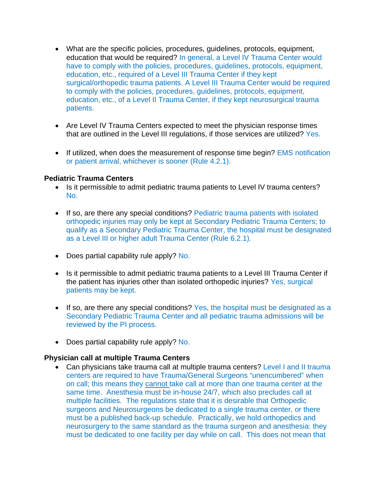- What are the specific policies, procedures, guidelines, protocols, equipment, education that would be required? In general, a Level IV Trauma Center would have to comply with the policies, procedures, guidelines, protocols, equipment, education, etc., required of a Level III Trauma Center if they kept surgical/orthopedic trauma patients. A Level III Trauma Center would be required to comply with the policies, procedures, guidelines, protocols, equipment, education, etc., of a Level II Trauma Center, if they kept neurosurgical trauma patients.
- Are Level IV Trauma Centers expected to meet the physician response times that are outlined in the Level III regulations, if those services are utilized? Yes.
- If utilized, when does the measurement of response time begin? EMS notification or patient arrival, whichever is sooner (Rule 4.2.1).

### **Pediatric Trauma Centers**

- Is it permissible to admit pediatric trauma patients to Level IV trauma centers? No.
- If so, are there any special conditions? Pediatric trauma patients with isolated orthopedic injuries may only be kept at Secondary Pediatric Trauma Centers; to qualify as a Secondary Pediatric Trauma Center, the hospital must be designated as a Level III or higher adult Trauma Center (Rule 6.2.1).
- Does partial capability rule apply? No.
- Is it permissible to admit pediatric trauma patients to a Level III Trauma Center if the patient has injuries other than isolated orthopedic injuries? Yes, surgical patients may be kept.
- If so, are there any special conditions? Yes, the hospital must be designated as a Secondary Pediatric Trauma Center and all pediatric trauma admissions will be reviewed by the PI process.
- Does partial capability rule apply? No.

#### **Physician call at multiple Trauma Centers**

 Can physicians take trauma call at multiple trauma centers? Level I and II trauma centers are required to have Trauma/General Surgeons "unencumbered" when on call; this means they cannot take call at more than one trauma center at the same time. Anesthesia must be in-house 24/7, which also precludes call at multiple facilities. The regulations state that it is desirable that Orthopedic surgeons and Neurosurgeons be dedicated to a single trauma center, or there must be a published back-up schedule. Practically, we hold orthopedics and neurosurgery to the same standard as the trauma surgeon and anesthesia: they must be dedicated to one facility per day while on call. This does not mean that